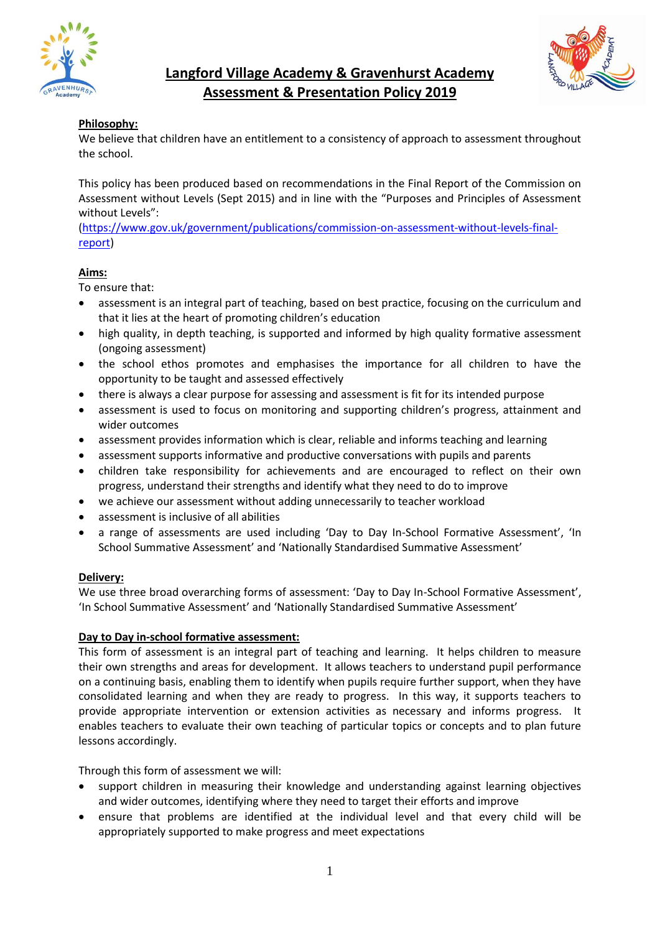



# **Langford Village Academy & Gravenhurst Academy Assessment & Presentation Policy 2019**

## **Philosophy:**

We believe that children have an entitlement to a consistency of approach to assessment throughout the school.

This policy has been produced based on recommendations in the Final Report of the Commission on Assessment without Levels (Sept 2015) and in line with the "Purposes and Principles of Assessment without Levels":

[\(https://www.gov.uk/government/publications/commission-on-assessment-without-levels-final](https://www.gov.uk/government/publications/commission-on-assessment-without-levels-final-report)[report\)](https://www.gov.uk/government/publications/commission-on-assessment-without-levels-final-report)

## **Aims:**

To ensure that:

- assessment is an integral part of teaching, based on best practice, focusing on the curriculum and that it lies at the heart of promoting children's education
- high quality, in depth teaching, is supported and informed by high quality formative assessment (ongoing assessment)
- the school ethos promotes and emphasises the importance for all children to have the opportunity to be taught and assessed effectively
- there is always a clear purpose for assessing and assessment is fit for its intended purpose
- assessment is used to focus on monitoring and supporting children's progress, attainment and wider outcomes
- assessment provides information which is clear, reliable and informs teaching and learning
- assessment supports informative and productive conversations with pupils and parents
- children take responsibility for achievements and are encouraged to reflect on their own progress, understand their strengths and identify what they need to do to improve
- we achieve our assessment without adding unnecessarily to teacher workload
- assessment is inclusive of all abilities
- a range of assessments are used including 'Day to Day In-School Formative Assessment', 'In School Summative Assessment' and 'Nationally Standardised Summative Assessment'

## **Delivery:**

We use three broad overarching forms of assessment: 'Day to Day In-School Formative Assessment', 'In School Summative Assessment' and 'Nationally Standardised Summative Assessment'

### **Day to Day in-school formative assessment:**

This form of assessment is an integral part of teaching and learning. It helps children to measure their own strengths and areas for development. It allows teachers to understand pupil performance on a continuing basis, enabling them to identify when pupils require further support, when they have consolidated learning and when they are ready to progress. In this way, it supports teachers to provide appropriate intervention or extension activities as necessary and informs progress. It enables teachers to evaluate their own teaching of particular topics or concepts and to plan future lessons accordingly.

Through this form of assessment we will:

- support children in measuring their knowledge and understanding against learning objectives and wider outcomes, identifying where they need to target their efforts and improve
- ensure that problems are identified at the individual level and that every child will be appropriately supported to make progress and meet expectations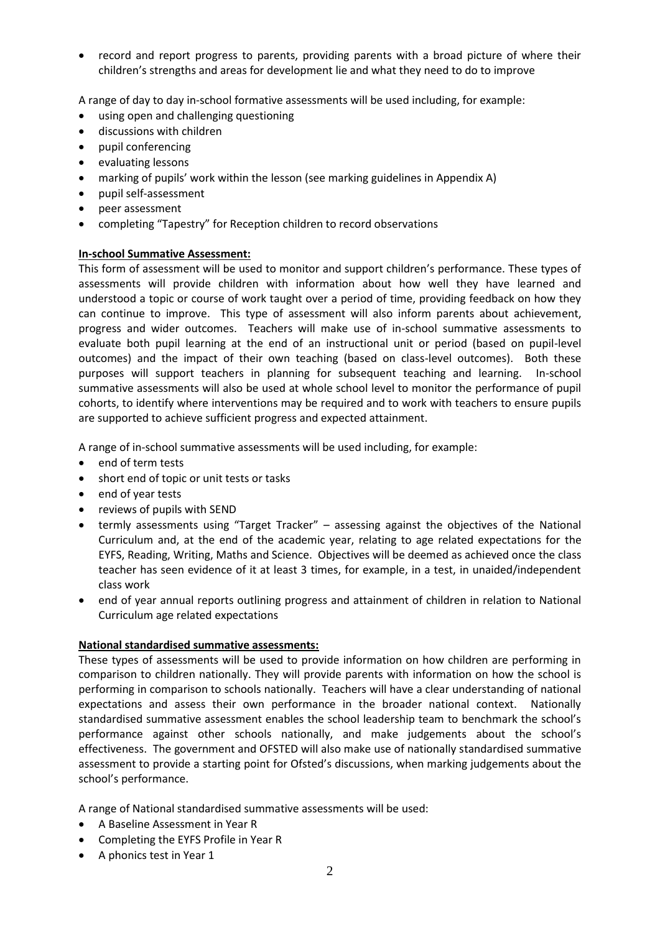• record and report progress to parents, providing parents with a broad picture of where their children's strengths and areas for development lie and what they need to do to improve

A range of day to day in-school formative assessments will be used including, for example:

- using open and challenging questioning
- discussions with children
- pupil conferencing
- evaluating lessons
- marking of pupils' work within the lesson (see marking guidelines in Appendix A)
- pupil self-assessment
- peer assessment
- completing "Tapestry" for Reception children to record observations

### **In-school Summative Assessment:**

This form of assessment will be used to monitor and support children's performance. These types of assessments will provide children with information about how well they have learned and understood a topic or course of work taught over a period of time, providing feedback on how they can continue to improve. This type of assessment will also inform parents about achievement, progress and wider outcomes. Teachers will make use of in-school summative assessments to evaluate both pupil learning at the end of an instructional unit or period (based on pupil-level outcomes) and the impact of their own teaching (based on class-level outcomes). Both these purposes will support teachers in planning for subsequent teaching and learning. In-school summative assessments will also be used at whole school level to monitor the performance of pupil cohorts, to identify where interventions may be required and to work with teachers to ensure pupils are supported to achieve sufficient progress and expected attainment.

A range of in-school summative assessments will be used including, for example:

- end of term tests
- short end of topic or unit tests or tasks
- end of year tests
- reviews of pupils with SEND
- termly assessments using "Target Tracker" assessing against the objectives of the National Curriculum and, at the end of the academic year, relating to age related expectations for the EYFS, Reading, Writing, Maths and Science. Objectives will be deemed as achieved once the class teacher has seen evidence of it at least 3 times, for example, in a test, in unaided/independent class work
- end of year annual reports outlining progress and attainment of children in relation to National Curriculum age related expectations

### **National standardised summative assessments:**

These types of assessments will be used to provide information on how children are performing in comparison to children nationally. They will provide parents with information on how the school is performing in comparison to schools nationally. Teachers will have a clear understanding of national expectations and assess their own performance in the broader national context. Nationally standardised summative assessment enables the school leadership team to benchmark the school's performance against other schools nationally, and make judgements about the school's effectiveness. The government and OFSTED will also make use of nationally standardised summative assessment to provide a starting point for Ofsted's discussions, when marking judgements about the school's performance.

A range of National standardised summative assessments will be used:

- A Baseline Assessment in Year R
- Completing the EYFS Profile in Year R
- A phonics test in Year 1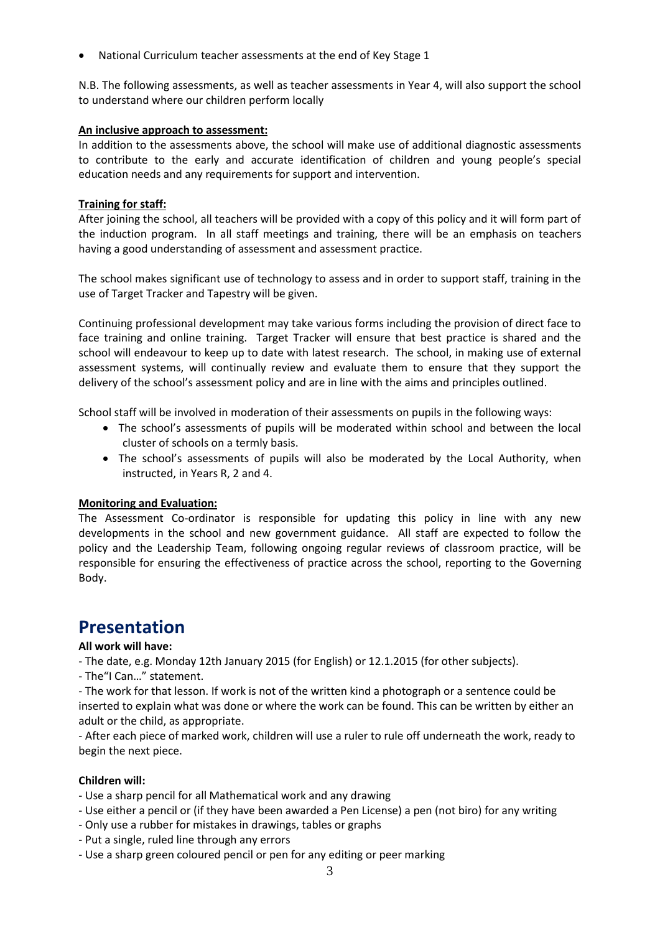• National Curriculum teacher assessments at the end of Key Stage 1

N.B. The following assessments, as well as teacher assessments in Year 4, will also support the school to understand where our children perform locally

### **An inclusive approach to assessment:**

In addition to the assessments above, the school will make use of additional diagnostic assessments to contribute to the early and accurate identification of children and young people's special education needs and any requirements for support and intervention.

### **Training for staff:**

After joining the school, all teachers will be provided with a copy of this policy and it will form part of the induction program. In all staff meetings and training, there will be an emphasis on teachers having a good understanding of assessment and assessment practice.

The school makes significant use of technology to assess and in order to support staff, training in the use of Target Tracker and Tapestry will be given.

Continuing professional development may take various forms including the provision of direct face to face training and online training. Target Tracker will ensure that best practice is shared and the school will endeavour to keep up to date with latest research. The school, in making use of external assessment systems, will continually review and evaluate them to ensure that they support the delivery of the school's assessment policy and are in line with the aims and principles outlined.

School staff will be involved in moderation of their assessments on pupils in the following ways:

- The school's assessments of pupils will be moderated within school and between the local cluster of schools on a termly basis.
- The school's assessments of pupils will also be moderated by the Local Authority, when instructed, in Years R, 2 and 4.

### **Monitoring and Evaluation:**

The Assessment Co-ordinator is responsible for updating this policy in line with any new developments in the school and new government guidance. All staff are expected to follow the policy and the Leadership Team, following ongoing regular reviews of classroom practice, will be responsible for ensuring the effectiveness of practice across the school, reporting to the Governing Body.

# **Presentation**

### **All work will have:**

- The date, e.g. Monday 12th January 2015 (for English) or 12.1.2015 (for other subjects).

- The"I Can…" statement.

- The work for that lesson. If work is not of the written kind a photograph or a sentence could be inserted to explain what was done or where the work can be found. This can be written by either an adult or the child, as appropriate.

- After each piece of marked work, children will use a ruler to rule off underneath the work, ready to begin the next piece.

### **Children will:**

- Use a sharp pencil for all Mathematical work and any drawing
- Use either a pencil or (if they have been awarded a Pen License) a pen (not biro) for any writing
- Only use a rubber for mistakes in drawings, tables or graphs
- Put a single, ruled line through any errors
- Use a sharp green coloured pencil or pen for any editing or peer marking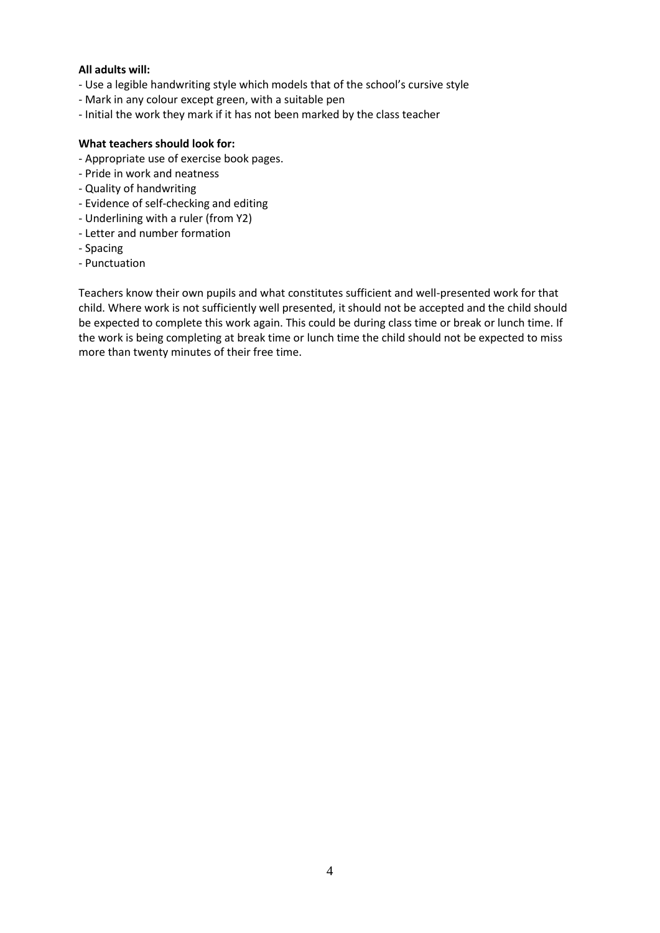### **All adults will:**

- Use a legible handwriting style which models that of the school's cursive style
- Mark in any colour except green, with a suitable pen
- Initial the work they mark if it has not been marked by the class teacher

### **What teachers should look for:**

- Appropriate use of exercise book pages.
- Pride in work and neatness
- Quality of handwriting
- Evidence of self-checking and editing
- Underlining with a ruler (from Y2)
- Letter and number formation
- Spacing
- Punctuation

Teachers know their own pupils and what constitutes sufficient and well-presented work for that child. Where work is not sufficiently well presented, it should not be accepted and the child should be expected to complete this work again. This could be during class time or break or lunch time. If the work is being completing at break time or lunch time the child should not be expected to miss more than twenty minutes of their free time.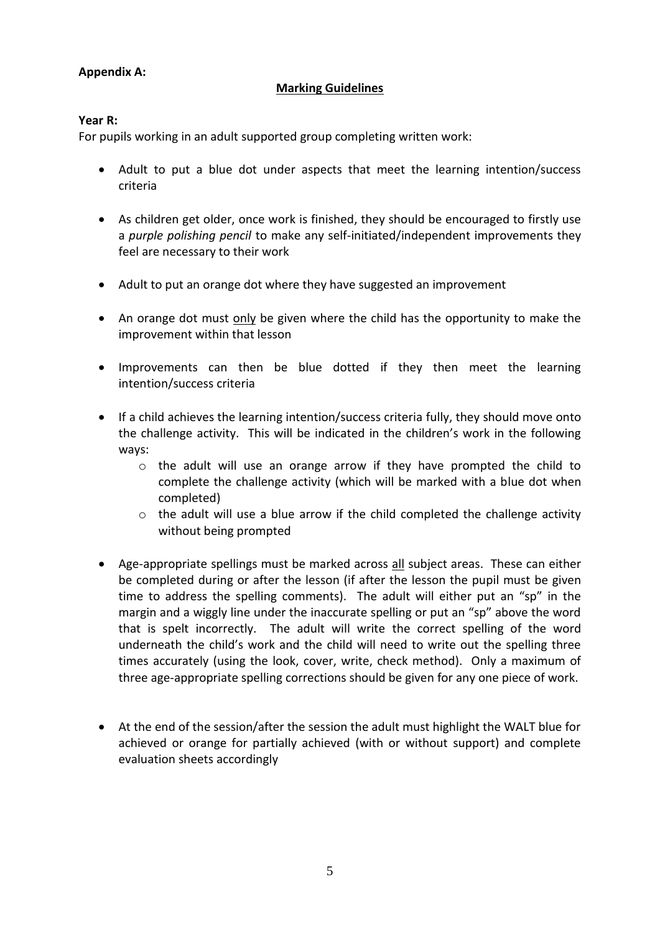# **Appendix A:**

# **Marking Guidelines**

## **Year R:**

For pupils working in an adult supported group completing written work:

- Adult to put a blue dot under aspects that meet the learning intention/success criteria
- As children get older, once work is finished, they should be encouraged to firstly use a *purple polishing pencil* to make any self-initiated/independent improvements they feel are necessary to their work
- Adult to put an orange dot where they have suggested an improvement
- An orange dot must only be given where the child has the opportunity to make the improvement within that lesson
- Improvements can then be blue dotted if they then meet the learning intention/success criteria
- If a child achieves the learning intention/success criteria fully, they should move onto the challenge activity. This will be indicated in the children's work in the following ways:
	- o the adult will use an orange arrow if they have prompted the child to complete the challenge activity (which will be marked with a blue dot when completed)
	- o the adult will use a blue arrow if the child completed the challenge activity without being prompted
- Age-appropriate spellings must be marked across all subject areas. These can either be completed during or after the lesson (if after the lesson the pupil must be given time to address the spelling comments). The adult will either put an "sp" in the margin and a wiggly line under the inaccurate spelling or put an "sp" above the word that is spelt incorrectly. The adult will write the correct spelling of the word underneath the child's work and the child will need to write out the spelling three times accurately (using the look, cover, write, check method). Only a maximum of three age-appropriate spelling corrections should be given for any one piece of work.
- At the end of the session/after the session the adult must highlight the WALT blue for achieved or orange for partially achieved (with or without support) and complete evaluation sheets accordingly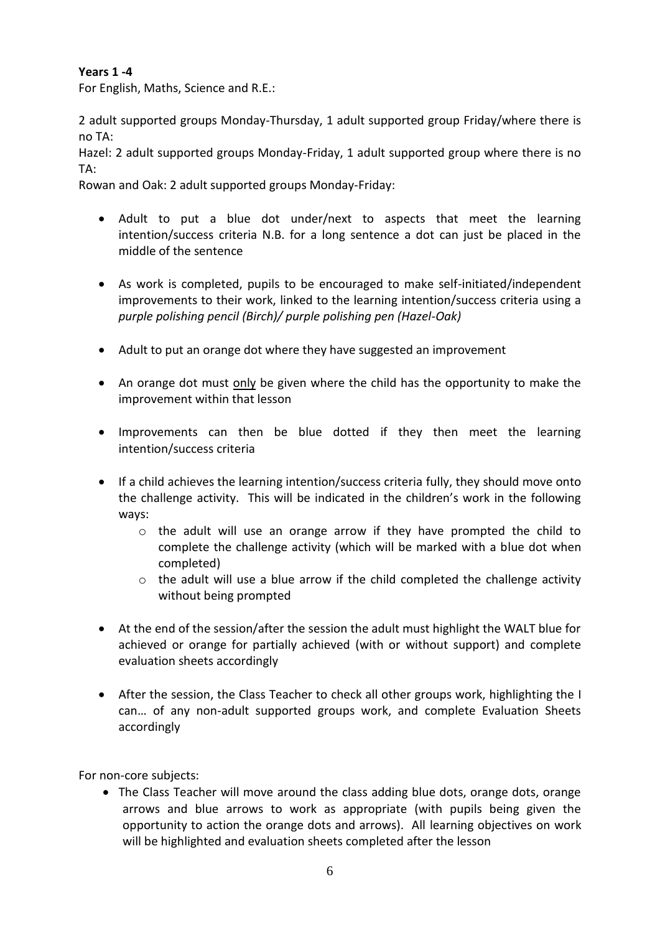# **Years 1 -4**

For English, Maths, Science and R.E.:

2 adult supported groups Monday-Thursday, 1 adult supported group Friday/where there is no TA:

Hazel: 2 adult supported groups Monday-Friday, 1 adult supported group where there is no TA:

Rowan and Oak: 2 adult supported groups Monday-Friday:

- Adult to put a blue dot under/next to aspects that meet the learning intention/success criteria N.B. for a long sentence a dot can just be placed in the middle of the sentence
- As work is completed, pupils to be encouraged to make self-initiated/independent improvements to their work, linked to the learning intention/success criteria using a *purple polishing pencil (Birch)/ purple polishing pen (Hazel-Oak)*
- Adult to put an orange dot where they have suggested an improvement
- An orange dot must only be given where the child has the opportunity to make the improvement within that lesson
- Improvements can then be blue dotted if they then meet the learning intention/success criteria
- If a child achieves the learning intention/success criteria fully, they should move onto the challenge activity. This will be indicated in the children's work in the following ways:
	- o the adult will use an orange arrow if they have prompted the child to complete the challenge activity (which will be marked with a blue dot when completed)
	- $\circ$  the adult will use a blue arrow if the child completed the challenge activity without being prompted
- At the end of the session/after the session the adult must highlight the WALT blue for achieved or orange for partially achieved (with or without support) and complete evaluation sheets accordingly
- After the session, the Class Teacher to check all other groups work, highlighting the I can… of any non-adult supported groups work, and complete Evaluation Sheets accordingly

For non-core subjects:

• The Class Teacher will move around the class adding blue dots, orange dots, orange arrows and blue arrows to work as appropriate (with pupils being given the opportunity to action the orange dots and arrows). All learning objectives on work will be highlighted and evaluation sheets completed after the lesson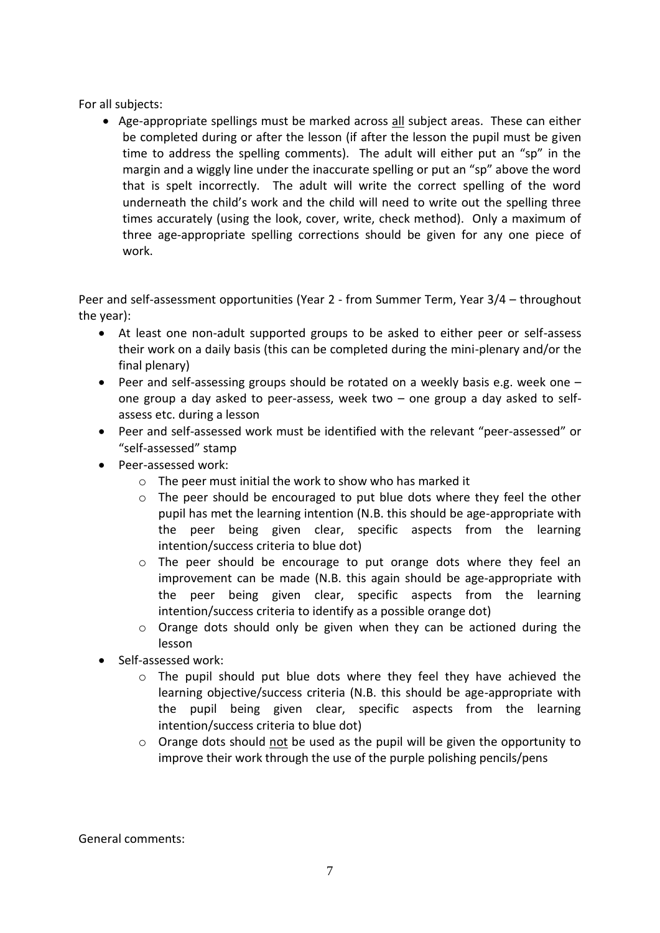For all subjects:

• Age-appropriate spellings must be marked across all subject areas. These can either be completed during or after the lesson (if after the lesson the pupil must be given time to address the spelling comments). The adult will either put an "sp" in the margin and a wiggly line under the inaccurate spelling or put an "sp" above the word that is spelt incorrectly. The adult will write the correct spelling of the word underneath the child's work and the child will need to write out the spelling three times accurately (using the look, cover, write, check method). Only a maximum of three age-appropriate spelling corrections should be given for any one piece of work.

Peer and self-assessment opportunities (Year 2 - from Summer Term, Year 3/4 – throughout the year):

- At least one non-adult supported groups to be asked to either peer or self-assess their work on a daily basis (this can be completed during the mini-plenary and/or the final plenary)
- Peer and self-assessing groups should be rotated on a weekly basis e.g. week one one group a day asked to peer-assess, week two – one group a day asked to selfassess etc. during a lesson
- Peer and self-assessed work must be identified with the relevant "peer-assessed" or "self-assessed" stamp
- Peer-assessed work:
	- $\circ$  The peer must initial the work to show who has marked it
	- o The peer should be encouraged to put blue dots where they feel the other pupil has met the learning intention (N.B. this should be age-appropriate with the peer being given clear, specific aspects from the learning intention/success criteria to blue dot)
	- o The peer should be encourage to put orange dots where they feel an improvement can be made (N.B. this again should be age-appropriate with the peer being given clear, specific aspects from the learning intention/success criteria to identify as a possible orange dot)
	- $\circ$  Orange dots should only be given when they can be actioned during the lesson
- Self-assessed work:
	- $\circ$  The pupil should put blue dots where they feel they have achieved the learning objective/success criteria (N.B. this should be age-appropriate with the pupil being given clear, specific aspects from the learning intention/success criteria to blue dot)
	- o Orange dots should not be used as the pupil will be given the opportunity to improve their work through the use of the purple polishing pencils/pens

General comments: